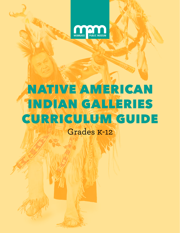

# NATIVE AMERICAN INDIAN GALLERIES CURRICULUM GUIDE

Grades K-12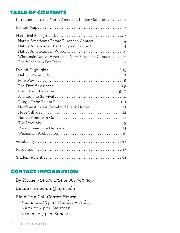# TABLE OF CONTENTS

| Introduction to the North American Indian Galleries  3                                                                                       |
|----------------------------------------------------------------------------------------------------------------------------------------------|
|                                                                                                                                              |
| Native Americans Before European Contact4<br>Native Americans After European Contact 4<br>Wisconsin Native Americans After European Contact5 |
| Northwest Coast Kawakiutl Plank House 11                                                                                                     |
|                                                                                                                                              |
|                                                                                                                                              |
|                                                                                                                                              |

# CONTACT INFORMATION

**By Phone:** 414-278-2714 or 888-700-9069

**Email:** curriculum@mpm.edu

## **Field Trip Call Center Hours:**

9 a.m. to 4:15 p.m. Monday – Friday 9 a.m. to 3 p.m. Saturday 10 a.m. to 3 p.m. Sunday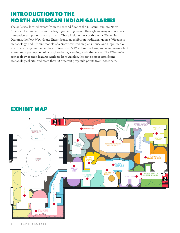# INTRODUCTION TO THE NORTH AMERICAN INDIAN GALLARIES

The galleries, located primarily on the second floor of the Museum, explore North American Indian culture and history—past and present—through an array of dioramas, interactive components, and artifacts. These include the world-famous Bison Hunt Diorama, the Pow-Wow Grand Entry Scene, an exhibit on traditional games, Wisconsin archaeology, and life-size models of a Northwest Indian plank house and Hopi Pueblo. Visitors can explore the habitats of Wisconsin's Woodland Indians, and observe excellent examples of porcupine quillwork, beadwork, weaving, and other crafts. The Wisconsin archaeology section features artifacts from Aztalan, the state's most significant archaeological site, and more than 50 different projectile points from Wisconsin.



# EXHIBIT MAP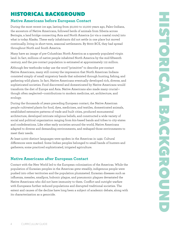# HISTORICAL BACKGROUND

## **Native Americans before European Contact**

During the most recent ice age, lasting from 30,000 to 10,000 years ago, Paleo-Indians, the ancestors of Native Americans, followed herds of animals from Siberia across Beringia, a land bridge connecting Asia and North America (or via a coastal route) into what is today Alaska. These early inhabitants did not settle in one place but moved continually, living in short-term, seasonal settlements. By 8000 BCE, they had spread throughout North and South America.

Many have an image of pre-Columbian North America as a sparsely populated virgin land. In fact, millions of native people inhabited North America by the mid-fifteenth century, and the pre-contact population is estimated at approximately 112 million.

Although few textbooks today use the word "primitive" to describe pre-contact Native Americans, many still convey the impression that North American Indians consisted simply of small migratory bands that subsisted through hunting, fishing, and gathering wild plants. In fact, Native Americans eventually developed rich, diverse, and sophisticated societies. Food discovered and domesticated by Native Americans would transform the diet of Europe and Asia. Native Americans also made many crucial though often neglected—contributions to modern medicine, art, architecture, and ecology.

During the thousands of years preceding European contact, the Native American people cultivated plants for food, dyes, medicines, and textiles, domesticated animals, established extensive patterns of trade and built cities, produced monumental architecture, developed intricate religious beliefs, and constructed a wide variety of social and political organization ranging from kin-based bands and tribes to city-states and confederations. Like other early societies around the world, Native Americans adapted to diverse and demanding environments, and reshaped those environments to meet their needs.

At least 2,000 distinct languages were spoken in the Americas in 1492. Cultural differences were marked. Some Indian peoples belonged to small bands of hunters and gatherers; some practiced sophisticated, irrigated agriculture.

## **Native Americans after European Contact**

Contact with the New World led to the European colonization of the Americas. While the population of Eurasian peoples in the Americas grew steadily, indigenous people were pushed into other territories and the population plummeted. Eurasian diseases such as influenza, measles, smallpox, bubonic plague, and pneumonic plagues devastated the Native Americans who did not have immunity to them. Conflict and outright warfare with Europeans further reduced populations and disrupted traditional societies. The extent and causes of the decline have long been a subject of academic debate, along with its characterization as a genocide.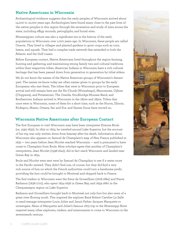## **Native Americans in Wisconsin**

Archaeological evidence suggests that the early peoples of Wisconsin arrived about 14,000 to 12,000 years ago. Archeologists have found many clues to the past lives of the native peoples in this region through the excavation and study of sites across the state, including effigy mounds, petroglyphs, and burial sites.

Mississippian culture was also a significant era in the history of the early populations in Wisconsin over 1,000 years ago. In Wisconsin, these people are called Oneota. They lived in villages and planted gardens to grow crops such as corn, beans, and squash. They had a complex trade network that extended to both the Atlantic and the Gulf coasts.

Before European contact, Native Americans lived throughout the region farming, hunting and gathering, and maintaining strong family ties and cultural traditions within their respective tribes. American Indians in Wisconsin have a rich cultural heritage that has been passed down from generation to generation by tribal elders.

We do not know the names of the Native American groups of Wisconsin's distant past. The names we know today are often names given to groups by the early Europeans who met them. The tribes that were in Wisconsin prior to European arrival and still remain here are the Ho-Chunk (Winnebago), Menominee, Ojibwe (Chippewa), and Potawatomi. The Oneida, Stockbridge-Munsee Band, and Brothertown Indians arrived in Wisconsin in the 1820s and 1830s. Tribes that once were in Wisconsin, some of them for a short time, such as the Huron, Illinois, Kickapoo, Miami, Ottawa, Sac and Fox, and Santee Sioux have moved on.

#### **Wisconsin Native Americans after European Contact**

The first European to visit Wisconsin may have been interpreter Etienne Brule (ca. 1592-1632). In 1622 or 1623, he traveled around Lake Superior, but the account of his trip was only written down from hearsay after his death. Information about Wisconsin also appears on Samuel de Champlain's map of New France published in 1632 — two years before Jean Nicolet reached Wisconsin — and is presumed to have come to Champlain from Brule. Most scholars agree that another of Champlain's interpreters, Jean Nicolet (1598-1642), did in fact reach Wisconsin and landed near Green Bay in 1634.

Brule and Nicolet were sent west by Samuel de Champlain to see if a water route to the Pacific existed. They didn't find one, of course, but they did find a very rich source of furs on which the French authorities could turn a handsome profit, providing the furs could be brought to Montreal and shipped back to France.

The first traders in Wisconsin were the Sieur de Groseilliers (1618-1684) and Pierre Radisson (1636-1710), who spent 1654-1656 in Green Bay, and 1659-1660 in the Chequamegon region on Lake Superior.

Radisson and Groseilliers brought back to Montreal not only furs but also news of a great river flowing south. This inspired the explorer René Robert Cavelier La Salle to send teenage interpreter Louis Joliet and Jesuit Father Jacques Marquette to investigate. News of Marquette and Joliet's famous 1673 trip to the Mississippi River inspired many other explorers, traders, and missionaries to come to Wisconsin in the seventeenth century.

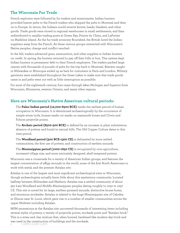#### **The Wisconsin Fur Trade**

French explorers were followed by fur traders and missionaries. Indian hunters provided beaver pelts to the French traders who shipped the pelts to Montreal and then on to Europe. In return, the Indians would receive knives, beads, blankets, and other goods. Trade goods were stored in regional warehouses in small settlements, and then redistributed to smaller trading posts at Green Bay, Prairie du Chien, and LaPointe on Madeline Island. As the fur trade economy flourished, the British lured the Indian suppliers away from the French. As these various groups interacted with Wisconsin's Native peoples, change and conflict resulted.

In the fall, traders advanced guns, ammunition, and other supplies to Indian hunters on credit. In spring, the hunters returned to pay off their bills in furs. This system kept Indian hunters in permanent debt to their French employers. The traders packed large canoes with thousands of pounds of pelts for the trip back to Montreal. Beavers caught in Milwaukee or Minocqua ended up as hats for customers in Paris and London. Military garrisons were established throughout the Great Lakes to make sure that trade goods came in and pelts went out with as little interruption as possible.

For most of the eighteenth century, furs came through lakes Michigan and Superior from Wisconsin, Minnesota, western Ontario, and many other regions.

#### **Here are Wisconsin's Native American cultural periods:**

The **Paleo-Indian period (12,000-6500 BCE)** marks the earliest period of human occupation in Wisconsin. It is determined archaeologically by the occurrence of simple stone tools, human-made cut marks on mammoth bones and Clovis and Folsom projectile points.

The **Archaic period (8500-500 BCE)** is defined by an increase in plant subsistence, absence of pottery and burial in natural hills. The Old Copper Culture dates to this time period.

The **Woodland period (500 BCE-1300 CE)** is delineated by more settled communities, the first use of pottery, and construction of earthen mounds.

The **Mississippian period (1000-1650 CE)** is recognized by corn agriculture, increased village size, and more intricately designed, shell-tempered pottery.

Wisconsin was a crossroads for a variety of American Indian groups, and features the largest concentration of effigy mounds in the world, some of the first North Americans to work with metal, and the premier Aztalan site.

Aztalan is one of the largest and most significant archaeological sites in Wisconsin, though archaeologists actually know little about this mysterious community. Located halfway between Milwaukee and Madison, Aztalan was a settled community of about 350 Late Woodland and Middle Mississippian peoples dating roughly to 1050 to 1250 CE. This site is noted for its large, earthen pyramid mounds, distinctive house forms, and enormous stockades. Aztalan is related to the huge Mississippian site of Cahokia in Illinois near St. Louis, which gave rise to a number of smaller communities across the upper Midwest including Aztalan.

MPM excavations at the Aztalan site uncovered thousands of interesting items including several styles of pottery, a variety of projectile points, stockade posts and "Aztalan brick." This is a straw and clay mixture that, when burned, hardened like modern-day brick and was used in the construction of buildings and the stockade.

6 CURRICULUM GUIDE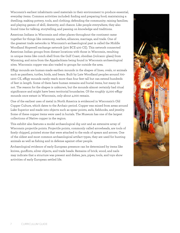Wisconsin's earliest inhabitants used materials in their environment to produce essential, everyday items. Common activities included: finding and preparing food; maintaining a dwelling; making pottery, tools, and clothing; defending the community; raising families; and playing games of skill, dexterity, and chance. Like people everywhere, they also found time for talking, storytelling, and passing on knowledge and traditions.

American Indians in Wisconsin and other places throughout the continent came together for things like ceremony, warfare, alliances, marriage, and trade. One of the greatest trade networks in Wisconsin's archaeological past is called the Middle Woodland Hopewell exchange network (300 BCE-400 CE). This network connected American Indian groups from distant locations with those in Wisconsin, resulting in unique items like conch shell from the Gulf Coast, obsidian (volcanic glass) from Wyoming, and mica from the Appalachians being found in Wisconsin archaeological sites. Wisconsin copper was also traded to groups far outside the area.

Effigy mounds are human-made earthen mounds in the shapes of lines, ovals, or animals such as panthers, turtles, birds, and bears. Built by Late Woodland peoples around 700- 1200 CE, effigy mounds rarely reach more than four feet tall but can extend hundreds of feet in length. Some of them have human remains and burial items, but many do not. The reason for the shapes is unknown, but the mounds almost certainly had ritual significance and might have been territorial boundaries. Of the roughly 15,000 effigy mounds once extant in Wisconsin, only about 4,000 remain.

One of the earliest uses of metal in North America is evidenced in Wisconsin's Old Copper Culture, which dates to the Archaic period. Copper was mined from areas around Lake Superior and made into objects such as spear points, awls, fishhooks, and jewelry. Some of these copper items were used in burials. The Museum has one of the largest collections of Native copper in the region.

This exhibit also features a model archaeological dig unit and an extensive array of Wisconsin projectile points. Projectile points, commonly called arrowheads, are tools of finely chipped, pointed stone that were attached to the ends of spears and arrows. One of the oldest and most common archaeological artifact types, they are used for hunting animals as well as fishing and in defense against other people.

Archaeological evidence of early European presence can be determined by items like knives, gunflints, silver objects, and trade beads. Remains of brick, wood, and nails may indicate that a structure was present and dishes, jars, pipes, tools, and toys show activities of early European settled life.

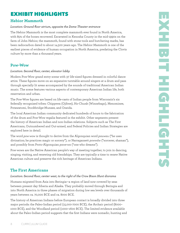# EXHIBIT HIGHLIGHTS

## **Hebior Mammoth**

#### *Location: Ground floor atrium, opposite the Dome Theater entrance*

The Hebior Mammoth is the most complete mammoth ever found in North America, with 85% of the bones recovered. Excavated in Kenosha County in the mid-1990s on the farm of John Hebior, the mammoth, found with stone tools and butchering marks, has been radiocarbon dated to about 14,500 years ago. The Hebior Mammoth is one of the earliest pieces of evidence of human occupation in North America, predating the Clovis culture by more than a thousand years.

## **Pow-Wow**

#### *Location: Second floor, center, elevator lobby*

Modern Pow-Wow grand entry scene with 37 life-sized figures dressed in colorful dance attire. These figures move on an expansive turntable around singers at a drum and pass through specially lit areas accompanied by the sounds of traditional American Indian music. The scene features various aspects of contemporary American Indian life, both reservation and urban.

The Pow-Wow figures are based on life-casts of Indian people from Wisconsin's six federally recognized tribes: Chippewa (Ojibwe), Ho-Chunk (Winnebago), Menominee, Potawatomi, Stockbridge-Munsee, and Oneida.

The local American Indian community dedicated hundreds of hours to the fabrication of the drum and Pow-Wow regalia featured in the exhibit. Other segments present the history of American Indian and non-Indian relations. Subjects such as The First Americans, Outnumbered and Out-armed, and Federal Policies and Indian Strategies are explored here in detail.

The word *pow-wow* is thought to derive from the Algonquian word *pauwau* ("he uses divination; he practices magic or sorcery"), or Narragansett *powwáw* ("sorcerer, shaman"), and possibly from Proto-Algonquian *pawe·wa* ("one who dreams").

Pow-wows are the Native American people's way of meeting together, to join in dancing, singing, visiting, and renewing old friendships. They are typically a time to renew Native American culture and preserve the rich heritage of American Indians.

## **The First Americans**

#### *Location: Second floor, center west, to the right of the Crow Bison Hunt diorama*

Humans migrated from Asia into Beringia—a region of land now covered by seas between present day Siberia and Alaska. They probably moved through Beringia and into North America in three phases of migration during low sea levels over thousands of years between ca. 70,000 BCE and ca. 8000 BCE.

The history of American Indians before European contact is broadly divided into three major periods: the Paleo-Indian period (15,000-7000 BCE), the Archaic period (8000– 1000 BCE), and the Woodland period (1000–1600 BCE). The limited evidence available about the Paleo-Indian period suggests that the first Indians were nomadic, hunting and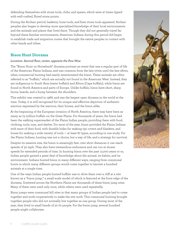defending themselves with stone tools, clubs, and spears, which were at times tipped with well-crafted, fluted stone points.

During the Archaic period, basketry, bone tools, and finer stone tools appeared. Archaic peoples also began to develop more specialized knowledge of their local environments and the animals and plants that lived there. Though they did not generally travel far beyond these familiar environments, American Indians during this period did begin to establish trade and migration routes that brought the native peoples in contact with other bands and tribes.

## **Bison Hunt Diorama**

#### *Location: Second floor, center, opposite the Pow-Wow*

The "Bison Hunt on Horseback" diorama portrays an event that was a regular part of life of the American Plains Indians, and was common from the late-1700s until the late-1800s, when commercial hunting had nearly exterminated the bison. These animals are often referred to as "buffalo," which are actually not found in the American West. Instead, they are indigenous to South Asia (water buffalo) and Africa (Cape buffalo), while bison are found in North America and parts of Europe. Unlike buffalo, bison have short, sharp horns, beards, and a hump between the shoulders.

This exhibit was created in 1966, and was the largest open diorama in the world at the time. Today, it is still recognized for its unique and effective depiction of authentic emotion expressed by the warriors, their horses, and the bison alike.

At the beginning of the European invasion of North America, there may have been as many as 75 million buffalo on the Great Plains. For thousands of years, the bison had been the walking supermarket of the Plains Indian people, providing them with food, clothing, tools, toys, and shelter. For most of the year, bison provided the Plains Indians with most of their food, with durable hides for making tipi covers and blankets, and bones for making a wide variety of tools — at least 87 types, according to one study. For the Plains Indians, hunting was not a choice, but a way of life, and a strategy for survival.

Despite its massive size, the bison is amazingly fast: over short distances it can reach speeds of 30 mph. They also have tremendous endurance and can run at slower speeds for extended periods of time. In hunting bison over the past 12,000 years or so, Indian people gained a great deal of knowledge about the animal, its habits, and its environment. Indians hunted bison in many different ways, ranging from communal hunts in which many different groups would come together to harvest a hundred animals at a single time.

One of the ways Indian people hunted buffalo was to drive them over a cliff at a site known as a "bison jump," a small-scale model of which is featured at the front edge of the diorama. Scattered across the Northern Plains are thousands of these bison jump sites. Many of them were used only once, while others were used repeatedly.

Bison jumps were communal kill sites in that many groups of Indian people had to come together and work cooperatively to make the site work. This communal hunting brought together people who did not normally live together as one group. During most of the year, they lived in small bands of 50-70 people. For the bison jump, several hundred people might collaborate.

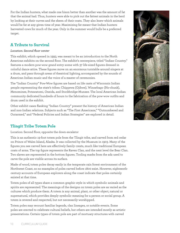For the Indian hunters, what made one bison better than another was the amount of fat that the animal had. Thus, hunters were able to pick out the fattest animals in the herd by looking at their curves and the sheen of their coats. They also knew which animals would be fat at any given time of year. Maximizing fat meant that Indian hunters harvested cows for much of the year. Only in the summer would bulls be a preferred target.

## **A Tribute to Survival**

#### *Location: Second floor center*

This exhibit, which opened in 1993, was meant to be an introduction to the North American exhibits on the second floor. The exhibit's centerpiece, titled "Indian Country," features a modern pow-wow grand entry scene with 37 life-sized figures dressed in colorful dance attire. These figures move on an enormous turntable around singers at a drum, and pass through areas of theatrical lighting, accompanied by the sounds of American Indian music and the voice of a master of ceremonies.

The "Indian Country" Pow-Wow figures are based on life casts of Wisconsin Indian people representing the state's tribes: Chippewa (Ojibwe), Winnebago (Ho-chunk), Menominee, Potawatomi, Oneida, and Stockbridge-Munsee. The local American Indian community dedicated hundreds of hours to the fabrication of the pow-wow outfits and drum used in the exhibit.

Other exhibit cases flanking "Indian Country" present the history of American Indian and non-Indian relations. Subjects such as "The First Americans," "Outnumbered and Outarmed," and "Federal Policies and Indian Strategies" are explored in detail.

## **Tlingit Tribe Totem Pole**

Location: Second floor, opposite the down escalator

This is an authentic 19-foot totem pole from the Tlingit tribe, and carved from red cedar on Prince of Wales Island, Alaska. It was collected by the Museum in 1903. Many of the figures you see carved here are effectively family crests, much like traditional European coats of arms. The top figure represents the Raven Clan, and the next level the Bear Clan. Two slaves are represented in the bottom figures. Tooling marks from the adz used to carve the pole are visible across its surface.

Made of wood, totem poles decay easily in the temperate rain forest environment of the Northwest Coast, so no examples of poles carved before 1800 exist. However, eighteenthcentury accounts of European explorers along the coast indicate that poles certainly existed at that time.

Totem poles of all types share a common graphic style in which symbolic animals and spirits are represented. The meanings of the designs on totem poles are as varied as the cultures which produce them. A totem is any animal, plant, or other object, natural or supernatural, which provides deeply symbolic meaning for a person or social group. A totem is revered and respected, but not necessarily worshipped.

Totem poles may recount familiar legends, clan lineages, or notable events. Some poles are erected to celebrate cultural beliefs, but others are intended mostly as artistic presentations. Certain types of totem pole are part of mortuary structures with carved

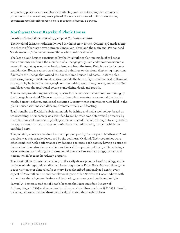supporting poles, or recessed backs in which grave boxes (holding the remains of prominent tribal members) were placed. Poles are also carved to illustrate stories, commemorate historic persons, or to represent shamanic powers.

## **Northwest Coast Kawakiutl Plank House**

#### *Location: Second floor, east wing, just past the down escalator*

The Kwakiutl Indians traditionally lived in what is now British Columbia, Canada along the shores of the waterways between Vancouver Island and the mainland. Pronounced "kwah-kee-oo-tl," the name means "those who speak Kwakwala."

The large plank houses constructed by the Kwakiutl people were made of red cedar and commonly sheltered the members of a lineage group. Red cedar was considered a sacred living being, even after having been cut from the trees. Each house had a name and identity. Houses sometimes had mural paintings on the front, displaying important figures in the lineage that owned the house. Some houses had posts — totem poles displaying lineage crests inside and/or outside the house. Figures often used in Kwakiutl iconography include the raven, eagle or thunderbird, wolf, crane, beaver, and whale. Red and black were the traditional colors, symbolizing death and rebirth.

The houses provided separate living spaces for the various nuclear families making up the lineage household. The occupants gathered in the central area around the fire for meals, domestic chores, and social activities. During winter, ceremonies were held in the plank houses with masked dancers, dramatic rituals, and feasting.

Traditionally, the Kwakiutl subsisted mainly by fishing and had a technology based on woodworking. Their society was stratified by rank, which was determined primarily by the inheritance of names and privileges; the latter could include the right to sing certain songs, use certain crests, and wear particular ceremonial masks, many of which are exhibited here.

The potlatch, a ceremonial distribution of property and gifts unique to Northwest Coast peoples, was elaborately developed by the southern Kwakiutl. Their potlatches were often combined with performances by dancing societies, each society having a series of dances that dramatized ancestral interactions with supernatural beings. Those beings were portrayed as giving gifts of ceremonial prerogatives such as songs, dances, and names, which became hereditary property.

The Kwakiutl contributed extensively to the early development of anthropology, as the subjects of ethnographic studies by pioneering scholar Franz Boas. In more than 5,000 pages written over almost half a century, Boas described and analyzed nearly every aspect of Kwakiutl culture and its relationships to other Northwest Coast Indians with whom they shared general features of technology, economy, art, myth, and religion.

Samuel A. Barrett, a student of Boas's, became the Museum's first Curator of Anthropology in 1909 and served as the director of the Museum from 1921-1939. Barrett collected almost all of the Museum's Kwakiutl materials on exhibit here.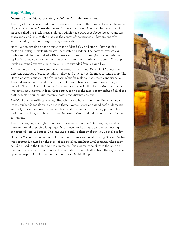## **Hopi Village**

#### *Location: Second floor, east wing, end of the North American gallery*

The Hopi Indians have lived in northwestern Arizona for thousands of years. The name *Hopi* is translated as "peaceful person." These Southwest American Indians inhabit an area called the Black Mesa, a plateau which rises 1,000 feet above the surrounding grasslands, and refer to this place as the center of the universe. They are entirely surrounded by the much larger Navajo reservation.

Hopi lived in *pueblos*, adobe houses made of dried clay and stone. They had flat roofs and multiple levels which were accessible by ladder. The bottom level was an underground chamber called a Kiva, reserved primarily for religious ceremonies. A replica Kiva may be seen on the right as you enter the right-hand structure. The upper levels contained apartments where an entire extended family could live.

Farming and agriculture were the cornerstone of traditional Hopi life. With over 20 different varieties of corn, including yellow and blue, it was the most common crop. The Hopi also grew squash, not only for eating, but for making instruments and utensils. They cultivated cotton and tobacco, pumpkins and beans, and sunflowers for dyes and oils. The Hopi were skilled artisans and had a special flair for making pottery and intricately woven rugs. In fact, Hopi pottery is one of the most recognizable of all of the pottery-making tribes, with its vivid colors and distinct designs.

The Hopi are a matrilineal society. Households are built upon a core line of women whose husbands regularly reside with them. Women exercise a good deal of domestic authority, since they own the houses, land, and the basic crops that support and feed their families. They also hold the most important ritual and judicial offices within the settlement.

The Hopi language is highly complex. It descends from the Aztec language and is unrelated to other pueblo languages. It is known for its unique ways of expressing concepts of time and space. The language is still spoken by about 5,000 people today.

Note the Golden Eagle on the rooftop of the structure to the left. Young Golden Eagles were captured, housed on the roofs of the pueblos, and kept until maturity when they could be used in the Home Dance ceremony. This ceremony celebrates the return of the Kachina spirits to their home in the mountains. Every feather from the eagle has a specific purpose in religious ceremonies of the Pueblo People.

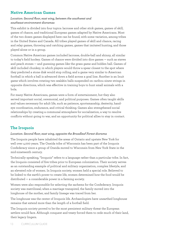## **Native American Games**

#### *Location: Second floor, east wing, between the southwest and southeast environment dioramas*

This exhibit is divided into four topics: lacrosse and other stick games, games of skill, games of chance, and traditional European games adapted by Native Americans. Most of the two dozen games displayed here can be found, with some variation, among tribes in the United States and Canada. All tribes played games of skill and chance, racing and relay games, throwing and catching games, games that imitated hunting, and those played alone or in a group.

Common Native American games included lacrosse, double-ball and shinny, all similar to today's field hockey. Games of chance were divided into dice games — such as staves and peach stones — and guessing games like the grass game and hidden ball. Games of skill included chunkey, in which players would throw a spear closest to the spot where they predicted a stone disk would stop rolling, and a game very similar to American football in which a ball is advanced down a field across a goal line. Another is an Inuit game which involves rotating two sealskin balls suspended on caribou sinew strings in opposite directions, which was effective in training boys to hunt small animals with a bola.

For many Native Americans, games were a form of entertainment, but they also served important social, ceremonial, and political purposes. Games often taught skills and values necessary for adult life, such as patience, sportsmanship, dexterity, handeye coordination, endurance, and critical thinking. Games also strengthened social relationships by creating a communal atmosphere for socialization, a way to resolve conflicts without going to war, and an opportunity for political allies to stay in contact.

## **The Iroquois**

#### *Location: Second floor, east wing, opposite the Broadleaf Forest diorama*

The Iroquois people have inhabited the areas of Ontario and upstate New York for well over 4,000 years. The Oneida tribe of Wisconsin has been part of the Iroquois Confederacy since a group of Oneida moved to Wisconsin from New York State in the mid-nineteenth century.

Technically speaking, "Iroquois" refers to a language rather than a particular tribe. In fact, the Iroquois consisted of five tribes prior to European colonization. Their society serves as an outstanding example of political and military organization, complex lifestyle, and an elevated role of women. In Iroquois society, women held a special role. Believed to be linked to the earth's power to create life, women determined how the food would be distributed — a considerable power in a farming society.

Women were also responsible for selecting the sachems for the Confederacy. Iroquois society was matrilineal; when a marriage transpired, the family moved into the longhouse of the mother, and family lineage was traced from her.

The longhouse was the center of Iroquois life. Archaeologists have unearthed longhouse remains that extend more than the length of a football field.

The Iroquois society proved to be the most persistent military threat the European settlers would face. Although conquest and treaty forced them to cede much of their land, their legacy lingers.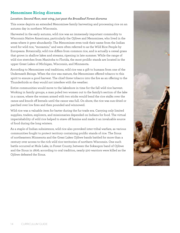## **Menominee Ricing diorama**

#### *Location: Second floor, east wing, just past the Broadleaf Forest diorama*

This scene depicts an extended Menominee family harvesting and processing rice on an autumn day in northern Wisconsin.

Harvested in the early autumn, wild rice was an immensely important commodity to Wisconsin Native Americans, particularly the Ojibwe and Menominee, who lived in the areas where it grew abundantly. The Menominee even took their name from the Indian word for wild rice, "monamin," and were often referred to as the Wild Rice People by Europeans. Botanically, wild rice differs from common rice, and is actually a cereal grass that grows in shallow lakes and streams, ripening in late summer. While the range of wild rice stretches from Manitoba to Florida, the most prolific stands are located in the upper Great Lakes of Michigan, Wisconsin, and Minnesota.

According to Menominee oral traditions, wild rice was a gift to humans from one of the Underneath Beings. When the rice was mature, the Menominee offered tobacco to this spirit to ensure a good harvest. The chief threw tobacco into the fire as an offering to the Thunderbirds so they would not interfere with the weather.

Entire communities would move to the lakeshore in time for the fall wild rice harvest. Working in family groups, a man poled two women out to the family's section of the lake in a canoe, where the women armed with two sticks would bend the rice stalks over the canoe and knock off kernels until the canoe was full. On shore, the rice was sun-dried or parched over low fires and then pounded and winnowed.

Wild rice was a valuable item for barter during the fur trade era. Carrying only limited supplies, traders, explorers, and missionaries depended on Indians for food. The virtual imperishability of wild rice helped to stave off famine and made it an invaluable source of food during the long winters.

As a staple of Indian subsistence, wild rice also provoked inter-tribal warfare, as various communities fought to protect territory containing prolific stands of rice. The Sioux of northeastern Minnesota and the Great Lakes Ojibwe bands battled for more than a century over access to the rich wild rice territories of northern Wisconsin. One such battle occurred at Mole Lake, in Forest County, between the Sokaogon band of Ojibwe and the Sioux in 1806; according to oral tradition, nearly 500 warriors were killed as the Ojibwe defeated the Sioux.

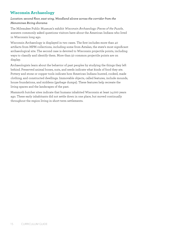## **Wisconsin Archaeology**

#### *Location: second floor, east wing, Woodland alcove across the corridor from the Menominee Ricing diorama*

The Milwaukee Public Museum's exhibit *Wisconsin Archaeology: Pieces of the Puzzle*, answers commonly asked questions visitors have about the American Indians who lived in Wisconsin long ago.

Wisconsin Archaeology is displayed in two cases. The first includes more than 40 artifacts from MPM collections, including some from Aztalan, the state's most significant archaeological site. The second case is devoted to Wisconsin projectile points, including ways to classify and identify them. More than 50 common projectile points are on display.

Archaeologists learn about the behavior of past peoples by studying the things they left behind. Preserved animal bones, nuts, and seeds indicate what kinds of food they ate. Pottery and stone or copper tools indicate how American Indians hunted, cooked, made clothing, and constructed dwellings. Immovable objects, called features, include mounds, house foundations, and middens (garbage dumps). These features help recreate the living spaces and the landscapes of the past.

Mammoth butcher sites indicate that humans inhabited Wisconsin at least 14,000 years ago. These early inhabitants did not settle down in one place, but moved continually throughout the region living in short-term settlements.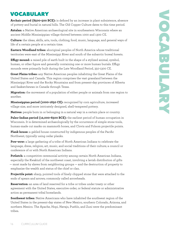# VOCABULARY

**Archaic period (8500-500 BCE):** is defined by an increase in plant subsistence, absence of pottery and burial in natural hills. The Old Copper Culture dates to this time period.

**Aztalan:** a Native American archaeological site in southeastern Wisconsin where an ancient Middle Mississippian village thrived between 1000 and 1300 CE.

**Culture:** the ideas, skills, arts, tools, clothing, food, music, language, and general ways of life of a certain people at a certain time.

**Eastern Woodland tribes:** aboriginal peoples of North America whose traditional territories were east of the Mississippi River and south of the subarctic boreal forests.

**Effigy mound:** a raised pile of earth built in the shape of a stylized animal, symbol, human, or other figure and generally containing one or more human burials. Effigy mounds were primarily built during the Late Woodland Period, 350-1300 CE.

**Great Plains tribes:** any Native American peoples inhabiting the Great Plains of the United States and Canada. This region comprises the vast grassland between the Mississippi River and the Rocky Mountains and from present-day provinces of Alberta and Saskatchewan in Canada through Texas.

**Migration:** the movement of a population of either people or animals from one region to another.

**Mississippian period (1000-1650 CE):** recognized by corn agriculture, increased village size, and more intricately designed, shell-tempered pottery.

**Natives:** people born in or belonging in a natural way in a certain place or country.

**Paleo-Indian period (12,000-6500 BCE):** the earliest period of human occupation in Wisconsin. It is determined archaeologically by the occurrence of simple stone tools, human-made cut marks on mammoth bones, and Clovis and Folsom projectile points.

**Plank house:** a gabled house constructed by indigenous peoples of the Pacific Northwest, typically using cedar planks.

**Pow-wow:** a large gathering of a tribe of North American Indians to celebrate the language, dress, religion, art, music, and social traditions of their culture; a council or conference of or with North American Indians.

**Potlatch:** a competitive ceremonial activity among certain North American Indians, especially the Kwakiutl of the northwest coast, involving a lavish distribution of gifts — most made by slaves from neighboring groups — and the destruction of property to emphasize the wealth and status of the chief or clan.

**Projectile point:** sharp, pointed tools of finely chipped stone that were attached to the ends of spears and arrows; commonly called arrowheads.

**Reservation:** an area of land reserved for a tribe or tribes under treaty or other agreement with the United States, executive order, or federal statute or administrative action as permanent tribal homelands.

**Southwest tribes:** Native Americans who have inhabited the southwest region of the United States in the present-day states of New Mexico, southern Colorado, Arizona, and northern Mexico. The Apache, Hopi, Navajo, Pueblo, and Zuni were the predominant tribes.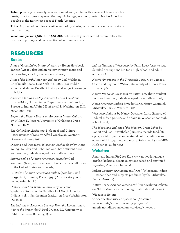**Totem pole:** a post, usually wooden, carved and painted with a series of family or clan crests, or with figures representing mythic beings, as among certain Native American peoples of the northwest coast of North America.

**Tribe:** A group of people or families united by sharing a common ancestor or customs and traditions.

**Woodland period (500 BCE-1300 CE):** delineated by more settled communities, the first use of pottery, and construction of earthen mounds.

## RESOURCES

#### **Books**

*Atlas of Great Lakes Indian History* by Helen Hornbeck Tanner (Great Lakes Indian history through maps and early writings for high school and above.)

*Atlas of the North American Indian* by Carl Waldman, Checkmark Books, New York, NY, 2000. (For middle school and above. Excellent history and subject coverage in brief.)

*American Indians Today: Answers to Your Questions*, third edition, United States Department of the Interior, Bureau of Indian Affairs MS 2620-MIB, Washington, D.C. 20240-0001, 1991.

*Beyond the Vision· Essays on American Indian Culture* by William K. Powers, University of Oklahoma Press, Norman, 1987.

*The Columbian Exchange· Biological and Cultural Consequences of 1492* by Alfred Crosby, Jr. Westport: Greenwood Press, 1972.

*Digging and Discovery: Wisconsin Archaeology* by Diane Young Holliday and Bobbi Malone (both student book and teacher guide developed for middle school)

*Encyclopedia of Native American Tribes* by Carl Waldman (brief, accurate descriptions of almost all tribes in the United States and Canada).

*Folktales of Native Americans Philadelphia* by David Borgenicht, Running Press, 1993. (This is a storybook and coloring book.)

*History of Indian-White Relations* by Wilcomb E. Washburn. Published in Handbook of North American Indians, vol. 4. Smithsonian Institution Press Washington, DC 1988.

*The Indians in American Society· From the Revolutionary War to the Present* by F. Paul Prucha, S.J., University of California Press, Berkeley, 1984.

*Indian Nations of Wisconsin* by Patty Loew (easy to read detailed descriptions but for a high school and adult audience.)

*Native Americans in the Twentieth Century* by James S. Olson and Raymond Wilson, University of Illinois Press, Urbana,1984.

*Native People of Wisconsin* by Patty Loew (both student book and teacher guide developed for middle school.)

*North American Indian Lives* by Lurie, Nancy Oestreich, Milwaukee Public Museum, 1985.

*Wisconsin Indians* by Nancy Oestreich Lurie (history of Federal Indian policies and affairs in Wisconsin for high school level.)

*The Woodland Indians of the Western Great Lakes* by Robert and Pat Ritzenthaler (Subjects include food, life cycle, social organization, material culture, religion and ceremonial life, games, and music. Published by the MPM. High school audience.)

#### **Websites**

American Indian FAQ for Kids: www.native-languages. org/kidfaq.htm#7 (Basic questions asked and answered regarding American Indians).

Indian Country: www.mpm.edu/wirp/ (Wisconsin Indian History, tribes and subjects produced by the Milwaukee Public Museum)

Native Tech: www.nativetech.org/ (Ever evolving website on Native American technology, materials and terms.)

#### Wisconsin Act 31:

www.education.wisc.edu/soe/about/resourceservice-units/student-diversity-programs/ american-indian-curriculum-services/why-act31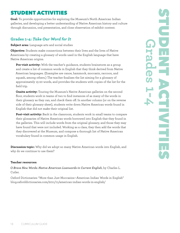# STUDENT ACTIVITIES

**Goal:** To provide opportunities for exploring the Museum's North American Indian galleries, and developing a better understanding of Native American history and culture through discussion, oral presentation, and close observation of exhibit content.

## **Grades 1-4:** *Take Our Word for It*

**Subject area:** Language arts and social studies

**Objective:** Students make connections between their lives and the lives of Native Americans by creating a glossary of words used in the English language that have Native American origins.

**Pre-visit activity:** With the teacher's guidance, students brainstorm as a group and create a list of common words in English that they think derived from Native American languages. (Examples are canoe, hammock, moccasin, raccoon, and squash, among others.) The teacher finalizes the list aiming for a glossary of approximately 15-20 words, and provides the students with copies of the list for the field trip.

**Onsite activity:** Touring the Museum's Native American galleries on the second floor, students work in teams of two to find instances of as many of the words in their glossary as they can, and check them off. In another column (or on the reverse side of their glossary sheet), students write down Native American words found in English that did not make their original list.

**Post-visit activity:** Back in the classroom, students work in small teams to compare their glossaries of Native American words borrowed into English that they found in the galleries. This will include words from the original glossary, and those they may have found that were not included. Working as a class, they then add the words that they discovered at the Museum, and compose a thorough list of Native American vocabulary found in common usage in English.

**Discussion topic:** Why did we adopt so many Native American words into English, and why do we continue to use them?

#### **Teacher resources:**

*O Brave New Words: Native American Loanwords in Current English*, by Charles L. Cutler.

Oxford Dictionaries: "More than Just Moccasins—American Indian Words in English" blog.oxforddictionaries.com/2011/11/american-indian-words-in-english/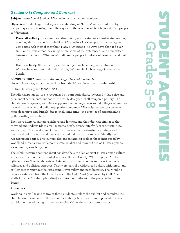## **Grades 5-8:** *Compare and Contrast*

**Subject areas:** Social Studies, Wisconsin history and archaeology

**Objective:** Students gain a deeper understanding of Native American cultures by comparing and contrasting their life-ways with those of the ancient Mississippian people of Wisconsin.

**Pre-visit activity:** In a classroom discussion, ask the students to estimate how long ago they think people first inhabited Wisconsin. (Answer: approximately 14,500 years ago.) Ask them if they think Native Americans life-ways have changed over time, and discuss what they imagine are some of the differences—and similarities between the lives of Wisconsin's indigenous people hundreds of years ago and their own.

**Onsite activity:** Students explore the indigenous Mississippian culture of Wisconsin as represented in the exhibit, "Wisconsin Archaeology: Pieces of the Puzzle."

#### **FOCUS EXHIBIT:** *Wisconsin Archaeology: Pieces of the Puzzle*

(Second floor east, across the corridor from the Menominee rice-gathering exhibit)

Culture: Mississippian (1000-1650 CE)

The Mississippian culture is recognized by corn agriculture, increased village size and permanent settlements, and more intricately designed, shell-tempered pottery. The climate was temperate, and Mississippians lived in large, year-round villages where they farmed extensively, and built large platform mounds. Mississippian pottery became more decorative and durable due to shell-tempering—the practice of strengthening pottery with ground shells.

They were hunters, gatherers, fishers, and farmers, and their diet was similar to that of Woodland Indians (deer, small mammals, fish, clams, waterfowl, seeds, fruits, nuts, and berries). The development of agriculture as a main subsistence strategy and the introduction of corn and beans and non-food plants like tobacco identify the Mississippian period. This culture also added farming tools to those introduced by Woodland Indians. Projectile points were smaller and more refined as Mississippians were hunting smaller game.

The exhibit features content about Aztalan, the site of an ancient Mississippian culture settlement that flourished in what is now Jefferson County, WI during the 10th to 13th centuries. The inhabitants of Aztalan constructed massive earthwork mounds for religious and political purposes. They were part of a widespread culture with important settlements throughout the Mississippi River valley and its tributaries. Their trading network extended from the Great Lakes to the Gulf Coast (evidenced by Gulf Coast shells found at Mississippian sites) and into the southeast of the present-day United States.

#### **Procedure:**

Working in small teams of two or three, students explore the exhibit and complete the chart below to evaluate, to the best of their ability, how the culture represented in each exhibit met the following survival strategies. (Note: the answers are in red.)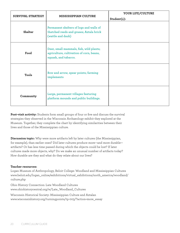| SURVIVAL STRATEGY | <b>MISSISSIPPIAN CULTURE</b>                                                                                | YOUR LIFE/CULTURE<br>Student(s): |
|-------------------|-------------------------------------------------------------------------------------------------------------|----------------------------------|
| Shelter           | Permanent shelters of logs and walls of<br>thatched reeds and grases; Aztala brick<br>(wattle and daub)     |                                  |
| Food              | Deer, small mammals, fish, wild plants;<br>agriculture, cultivation of corn, beans,<br>squash, and tabacco. |                                  |
| Tools             | Bow and arrow, spear points; farming<br>implements                                                          |                                  |
| Community         | Large, permanent villages featuring<br>platform mounds and public buildings.                                |                                  |

**Post-visit activity:** Students form small groups of four or five and discuss the survival strategies they observed in the Wisconsin Archaeology exhibit they explored at the Museum. Together, they complete the chart by identifying similarities between their lives and those of the Mississippian culture.

**Discussion topic:** Why were more artifacts left by later cultures (the Mississippian, for example), than earlier ones? Did later cultures produce more—and more durable artifacts? Or has less time passed during which the objects could be lost? If later cultures made more objects, why? Do we make an unusual number of artifacts today? How durable are they and what do they relate about our lives?

#### **Teacher resources:**

Logan Museum of Anthropology, Beloit College: Woodland and Mississippian Cultures www.beloit.edu/logan\_online/exhibitions/virtual\_exhibitions/north\_america/woodland/ culture.php

Ohio History Connection: Late Woodland Cultures www.ohiohistorycentral.org/w/Late\_Woodland\_Cultures

Wisconsin Historical Society: Mississippian Culture and Aztalan www.wisconsinhistory.org/turningpoints/tp-003/?action=more\_essay